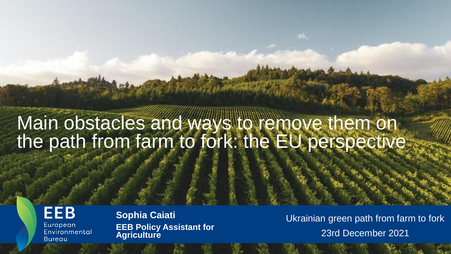# Main obstacles and ways to remove them on the path from farm to fork: the EU perspective

**EEB** European Environmental **Bureau** 

**Sophia Caiati EEB Policy Assistant for Agriculture**

Ukrainian green path from farm to fork 23rd December 2021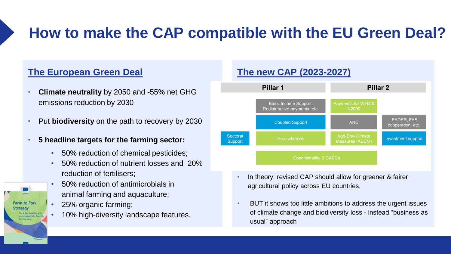# **How to make the CAP compatible with the EU Green Deal?**

#### **The European Green Deal**

- **Climate neutrality** by 2050 and -55% net GHG emissions reduction by 2030
- Put **biodiversity** on the path to recovery by 2030
- **5 headline targets for the farming sector:**
	- 50% reduction of chemical pesticides;
	- 50% reduction of nutrient losses and 20% reduction of fertilisers;
	- 50% reduction of antimicrobials in animal farming and aquaculture;
	- 25% organic farming;

**Farm to Fork Strategy** 

> For a fair, healthy and nvironmentally-friendly lood system

• 10% high-diversity landscape features.



- In theory: revised CAP should allow for greener & fairer agricultural policy across EU countries,
- BUT it shows too little ambitions to address the urgent issues of climate change and biodiversity loss - instead "business as usual" approach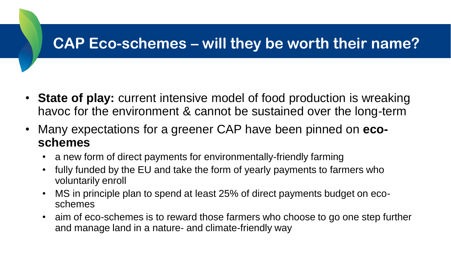## **CAP Eco-schemes – will they be worth their name?**

- **State of play:** current intensive model of food production is wreaking havoc for the environment & cannot be sustained over the long-term
- Many expectations for a greener CAP have been pinned on **ecoschemes**
	- a new form of direct payments for environmentally-friendly farming
	- fully funded by the EU and take the form of yearly payments to farmers who voluntarily enroll
	- MS in principle plan to spend at least 25% of direct payments budget on ecoschemes
	- aim of eco-schemes is to reward those farmers who choose to go one step further and manage land in a nature- and climate-friendly way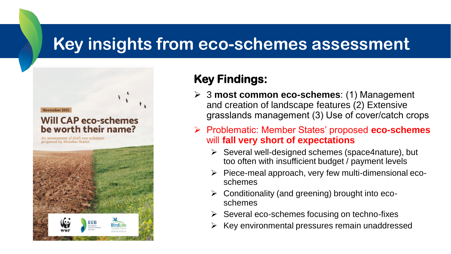## **Key insights from eco-schemes assessment**

November 2021

#### **Will CAP eco-schemes** be worth their name?

An assessment of draft eco-schemes proposed by Member States



### **Key Findings:**

- 3 **most common eco-schemes**: (1) Management and creation of landscape features (2) Extensive grasslands management (3) Use of cover/catch crops
- Problematic: Member States' proposed **eco-schemes** will **fall very short of expectations**
	- $\triangleright$  Several well-designed schemes (space4nature), but too often with insufficient budget / payment levels
	- $\triangleright$  Piece-meal approach, very few multi-dimensional ecoschemes
	- $\triangleright$  Conditionality (and greening) brought into ecoschemes
	- $\triangleright$  Several eco-schemes focusing on techno-fixes
	- $\triangleright$  Key environmental pressures remain unaddressed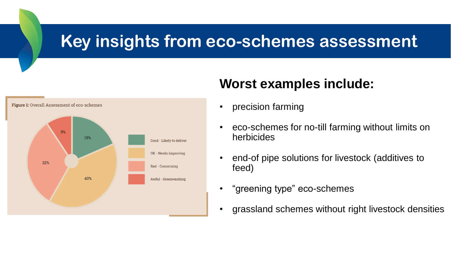## **Key insights from eco-schemes assessment**



### **Worst examples include:**

- precision farming
- eco-schemes for no-till farming without limits on herbicides
- end-of pipe solutions for livestock (additives to feed)
- "greening type" eco-schemes
- grassland schemes without right livestock densities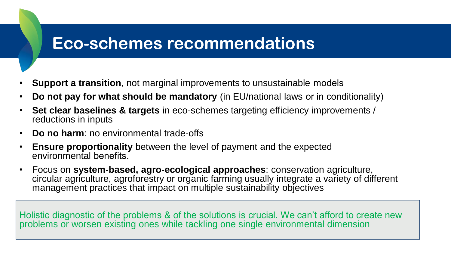# **Eco-schemes recommendations**

- **Support a transition**, not marginal improvements to unsustainable models
- **Do not pay for what should be mandatory** (in EU/national laws or in conditionality)
- **Set clear baselines & targets** in eco-schemes targeting efficiency improvements / reductions in inputs
- **Do no harm**: no environmental trade-offs
- **Ensure proportionality** between the level of payment and the expected environmental benefits.
- Focus on **system-based, agro-ecological approaches**: conservation agriculture, circular agriculture, agroforestry or organic farming usually integrate a variety of different management practices that impact on multiple sustainability objectives

Holistic diagnostic of the problems & of the solutions is crucial. We can't afford to create new problems or worsen existing ones while tackling one single environmental dimension